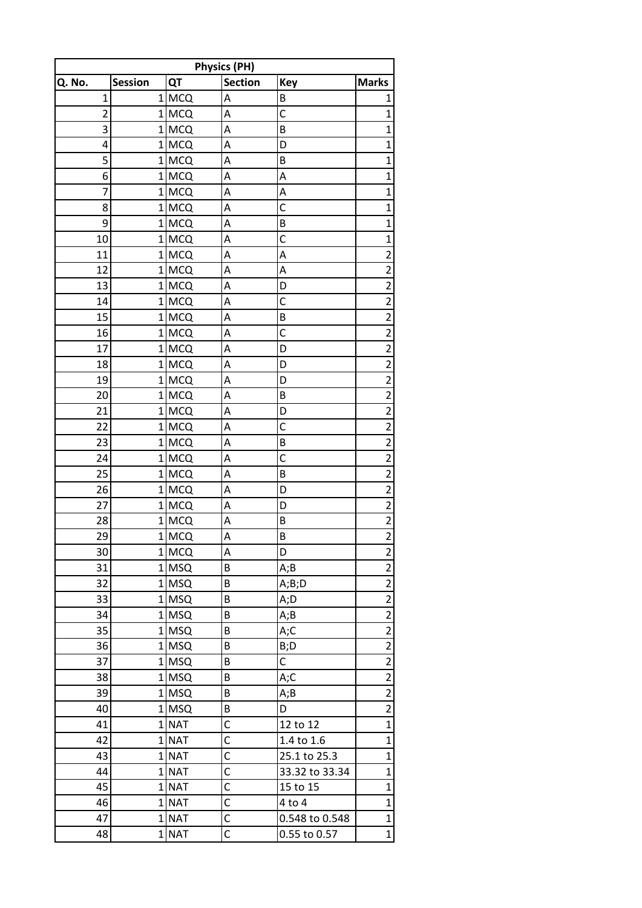| Q. No.         | <b>Session</b> | QT                 | <b>Physics (PH)</b><br><b>Section</b> | <b>Key</b>     | <b>Marks</b>                                       |
|----------------|----------------|--------------------|---------------------------------------|----------------|----------------------------------------------------|
| $\mathbf{1}$   |                | $1$ MCQ            | A                                     | B              | 1                                                  |
| $\overline{2}$ |                | $1$ MCQ            | A                                     | $\mathsf{C}$   | 1                                                  |
| 3              |                | $1$ MCQ            | A                                     | B              | 1                                                  |
| 4              |                | $1$ MCQ            | A                                     | D              | 1                                                  |
| 5              |                | $1$ MCQ            | A                                     | B              | 1                                                  |
| 6              |                | $1$ MCQ            | A                                     | A              | 1                                                  |
| 7              |                | $1$ MCQ            | A                                     | A              | 1                                                  |
| 8              |                | $1$ MCQ            | A                                     | C              | 1                                                  |
| 9              |                | $1$ MCQ            | A                                     | B              | 1                                                  |
| 10             |                | $1$ MCQ            | A                                     | $\mathsf{C}$   | 1                                                  |
| 11             |                | $1$ MCQ            | A                                     | A              | 2                                                  |
| 12             |                | $1$ MCQ            | A                                     | A              | $\overline{2}$                                     |
| 13             |                | $1$ MCQ            | A                                     | D              | 2                                                  |
| 14             |                |                    | A                                     | C              | 2                                                  |
| 15             |                | 1 MCQ<br>$1$ MCQ   | A                                     | B              | $\overline{2}$                                     |
| 16             |                | 1 MCQ              | A                                     | $\mathsf{C}$   | $\overline{2}$                                     |
| 17             |                |                    |                                       |                |                                                    |
| 18             |                | $1$ MCQ<br>$1$ MCQ | A<br>A                                | D<br>D         | $\overline{\mathbf{c}}$<br>$\overline{2}$          |
| 19             |                | $1$ MCQ            | A                                     | D              | $\overline{2}$                                     |
| 20             |                | $1$ MCQ            | A                                     | B              | $\overline{2}$                                     |
| 21             |                | $1$ MCQ            | A                                     | D              | $\overline{2}$                                     |
| 22             |                |                    |                                       | $\mathsf{C}$   | $\overline{2}$                                     |
| 23             |                | $1$ MCQ            | A<br>A                                | B              | $\overline{2}$                                     |
|                |                | $1$ MCQ            |                                       | C              |                                                    |
| 24<br>25       |                | $1$ MCQ            | A<br>A                                | B              | $\overline{\mathbf{c}}$<br>$\overline{\mathbf{c}}$ |
|                |                | $1$ MCQ            | A                                     | D              |                                                    |
| 26             |                | $1$ MCQ            |                                       |                | $\overline{\mathbf{c}}$                            |
| 27             |                | $1$ MCQ            | A                                     | D              | $\overline{2}$                                     |
| 28<br>29       |                | $1$ MCQ            | A                                     | B<br>B         | $\overline{\mathbf{c}}$<br>$\overline{z}$          |
|                |                | 1 MCQ              | A                                     |                |                                                    |
| 30             |                | $1$ MCQ            | A                                     | D              | $\overline{2}$                                     |
| 31             |                | $1$ MSQ            | B                                     | A;B            | $\overline{\mathbf{c}}$                            |
| 32             |                | $1$ MSQ            | B                                     | A;B;D          | $\overline{2}$                                     |
| 33             |                | $1$ MSQ            | B                                     | A;D            | $\overline{\mathbf{c}}$                            |
| 34             |                | $1$ MSQ            | B                                     | A;B            | $\overline{2}$                                     |
| 35             |                | $1$ MSQ            | B                                     | A;C            | $\overline{2}$                                     |
| 36             |                | $1$ MSQ            | B                                     | B;D            | $\overline{2}$                                     |
| 37             |                | $1$ MSQ            | B                                     | C              | $\overline{2}$                                     |
| 38             |                | $1$ MSQ            | B                                     | A;C            | $\overline{\mathbf{c}}$                            |
| 39             |                | $1$ MSQ            | B                                     | A;B            | $\overline{2}$                                     |
| 40             |                | $1$ MSQ            | B                                     | D              | $\overline{\mathbf{c}}$                            |
| 41             |                | $1$ NAT            | C                                     | 12 to 12       | $\overline{1}$                                     |
| 42             |                | $1$ NAT            | C                                     | 1.4 to 1.6     | $\mathbf{1}$                                       |
| 43             |                | $1$ NAT            | $\overline{\mathsf{C}}$               | 25.1 to 25.3   | $\mathbf{1}$                                       |
| 44             |                | $1$ NAT            | C                                     | 33.32 to 33.34 | $\mathbf{1}$                                       |
| 45             |                | $1$ NAT            | $\overline{\mathsf{C}}$               | 15 to 15       | $\mathbf 1$                                        |
| 46             |                | $1$ NAT            | C                                     | $4$ to $4$     | $\mathbf{1}$                                       |
| 47             |                | 1 NAT              | $\mathsf{C}$                          | 0.548 to 0.548 | $\mathbf 1$                                        |
| 48             |                | 1 NAT              | C                                     | 0.55 to 0.57   | $\mathbf 1$                                        |